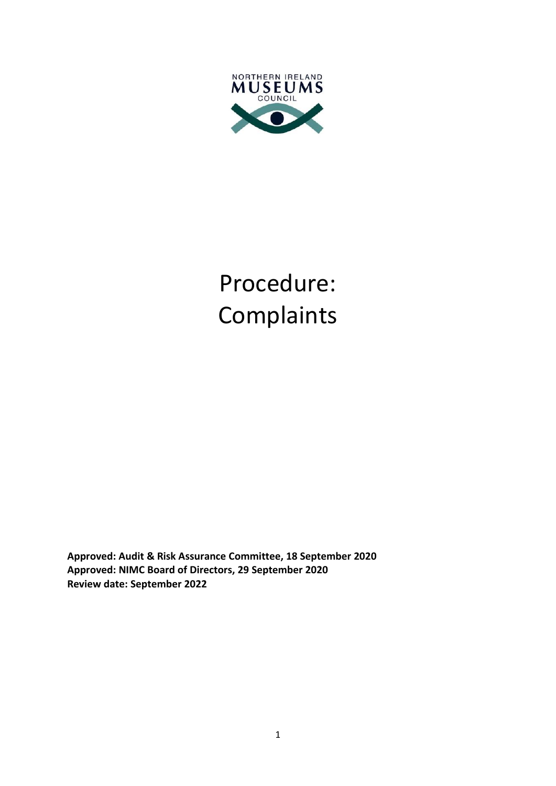

# Procedure: Complaints

**Approved: Audit & Risk Assurance Committee, 18 September 2020 Approved: NIMC Board of Directors, 29 September 2020 Review date: September 2022**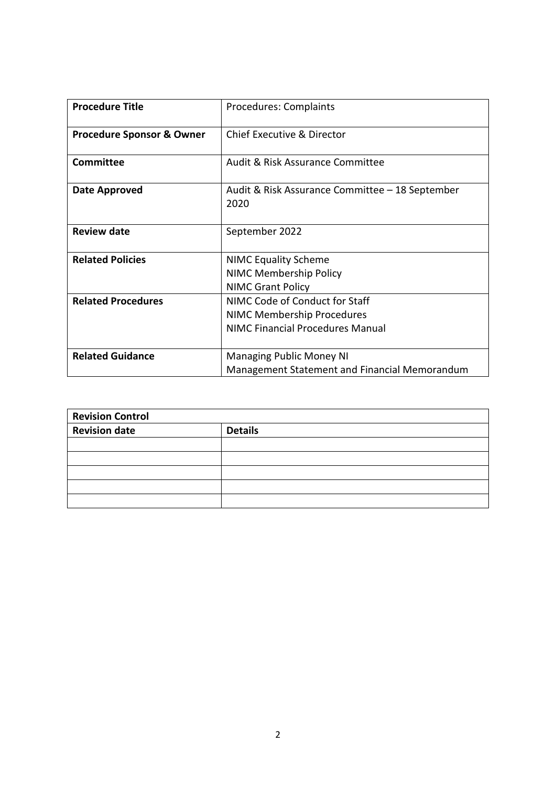| <b>Procedure Title</b>               | <b>Procedures: Complaints</b>                                                                                  |
|--------------------------------------|----------------------------------------------------------------------------------------------------------------|
| <b>Procedure Sponsor &amp; Owner</b> | Chief Executive & Director                                                                                     |
| <b>Committee</b>                     | Audit & Risk Assurance Committee                                                                               |
| Date Approved                        | Audit & Risk Assurance Committee – 18 September<br>2020                                                        |
| <b>Review date</b>                   | September 2022                                                                                                 |
| <b>Related Policies</b>              | <b>NIMC Equality Scheme</b><br><b>NIMC Membership Policy</b><br><b>NIMC Grant Policy</b>                       |
| <b>Related Procedures</b>            | NIMC Code of Conduct for Staff<br><b>NIMC Membership Procedures</b><br><b>NIMC Financial Procedures Manual</b> |
| <b>Related Guidance</b>              | <b>Managing Public Money NI</b><br>Management Statement and Financial Memorandum                               |

| <b>Revision Control</b> |                |  |
|-------------------------|----------------|--|
| <b>Revision date</b>    | <b>Details</b> |  |
|                         |                |  |
|                         |                |  |
|                         |                |  |
|                         |                |  |
|                         |                |  |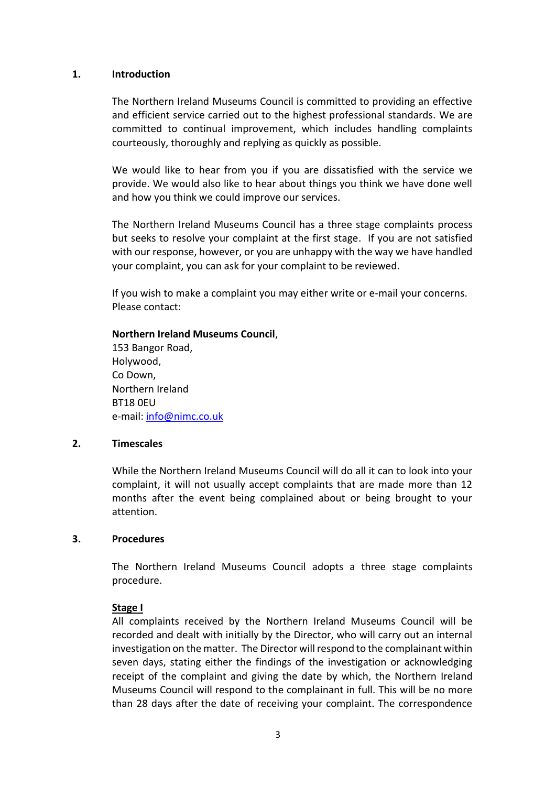#### **1. Introduction**

The Northern Ireland Museums Council is committed to providing an effective and efficient service carried out to the highest professional standards. We are committed to continual improvement, which includes handling complaints courteously, thoroughly and replying as quickly as possible.

We would like to hear from you if you are dissatisfied with the service we provide. We would also like to hear about things you think we have done well and how you think we could improve our services.

The Northern Ireland Museums Council has a three stage complaints process but seeks to resolve your complaint at the first stage. If you are not satisfied with our response, however, or you are unhappy with the way we have handled your complaint, you can ask for your complaint to be reviewed.

If you wish to make a complaint you may either write or e-mail your concerns. Please contact:

## **Northern Ireland Museums Council**,

153 Bangor Road, Holywood, Co Down, Northern Ireland BT18 0EU e-mail: [info@nimc.co.uk](mailto:info@nimc.co.uk)

## **2. Timescales**

While the Northern Ireland Museums Council will do all it can to look into your complaint, it will not usually accept complaints that are made more than 12 months after the event being complained about or being brought to your attention.

## **3. Procedures**

The Northern Ireland Museums Council adopts a three stage complaints procedure.

## **Stage I**

All complaints received by the Northern Ireland Museums Council will be recorded and dealt with initially by the Director, who will carry out an internal investigation on the matter. The Director will respond to the complainant within seven days, stating either the findings of the investigation or acknowledging receipt of the complaint and giving the date by which, the Northern Ireland Museums Council will respond to the complainant in full. This will be no more than 28 days after the date of receiving your complaint. The correspondence